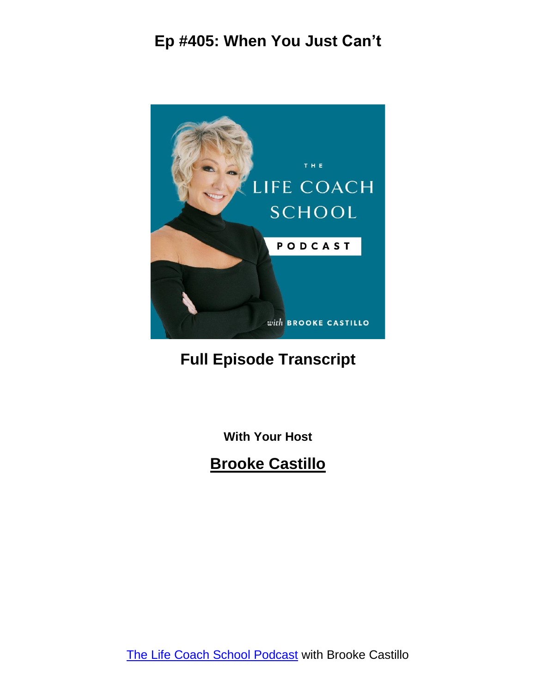

#### **Full Episode Transcript**

**With Your Host**

**Brooke Castillo**

The Life Coach School [Podcast](http://www.thelifecoachschool.com/) with Brooke Castillo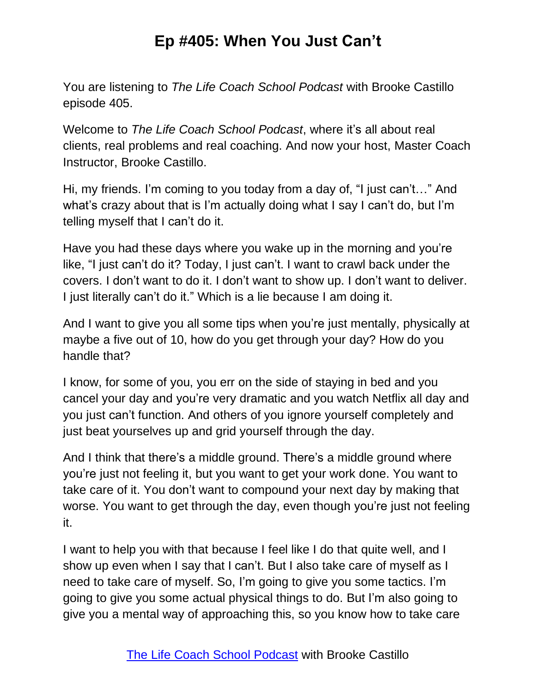You are listening to *The Life Coach School Podcast* with Brooke Castillo episode 405.

Welcome to *The Life Coach School Podcast*, where it's all about real clients, real problems and real coaching. And now your host, Master Coach Instructor, Brooke Castillo.

Hi, my friends. I'm coming to you today from a day of, "I just can't…" And what's crazy about that is I'm actually doing what I say I can't do, but I'm telling myself that I can't do it.

Have you had these days where you wake up in the morning and you're like, "I just can't do it? Today, I just can't. I want to crawl back under the covers. I don't want to do it. I don't want to show up. I don't want to deliver. I just literally can't do it." Which is a lie because I am doing it.

And I want to give you all some tips when you're just mentally, physically at maybe a five out of 10, how do you get through your day? How do you handle that?

I know, for some of you, you err on the side of staying in bed and you cancel your day and you're very dramatic and you watch Netflix all day and you just can't function. And others of you ignore yourself completely and just beat yourselves up and grid yourself through the day.

And I think that there's a middle ground. There's a middle ground where you're just not feeling it, but you want to get your work done. You want to take care of it. You don't want to compound your next day by making that worse. You want to get through the day, even though you're just not feeling it.

I want to help you with that because I feel like I do that quite well, and I show up even when I say that I can't. But I also take care of myself as I need to take care of myself. So, I'm going to give you some tactics. I'm going to give you some actual physical things to do. But I'm also going to give you a mental way of approaching this, so you know how to take care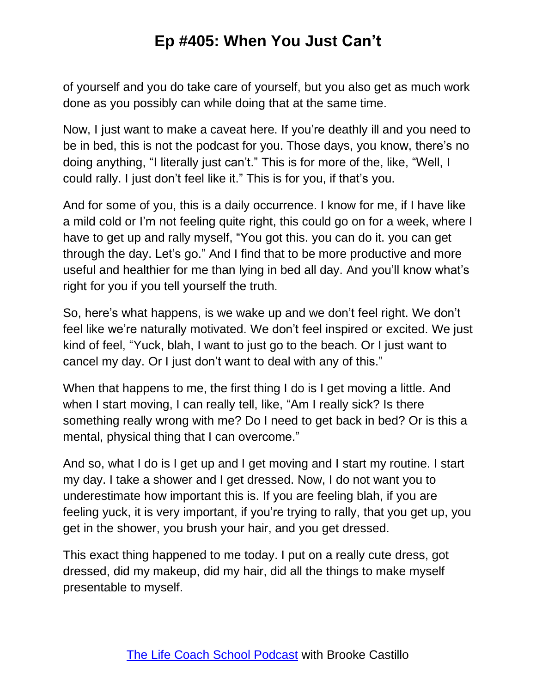of yourself and you do take care of yourself, but you also get as much work done as you possibly can while doing that at the same time.

Now, I just want to make a caveat here. If you're deathly ill and you need to be in bed, this is not the podcast for you. Those days, you know, there's no doing anything, "I literally just can't." This is for more of the, like, "Well, I could rally. I just don't feel like it." This is for you, if that's you.

And for some of you, this is a daily occurrence. I know for me, if I have like a mild cold or I'm not feeling quite right, this could go on for a week, where I have to get up and rally myself, "You got this. you can do it. you can get through the day. Let's go." And I find that to be more productive and more useful and healthier for me than lying in bed all day. And you'll know what's right for you if you tell yourself the truth.

So, here's what happens, is we wake up and we don't feel right. We don't feel like we're naturally motivated. We don't feel inspired or excited. We just kind of feel, "Yuck, blah, I want to just go to the beach. Or I just want to cancel my day. Or I just don't want to deal with any of this."

When that happens to me, the first thing I do is I get moving a little. And when I start moving, I can really tell, like, "Am I really sick? Is there something really wrong with me? Do I need to get back in bed? Or is this a mental, physical thing that I can overcome."

And so, what I do is I get up and I get moving and I start my routine. I start my day. I take a shower and I get dressed. Now, I do not want you to underestimate how important this is. If you are feeling blah, if you are feeling yuck, it is very important, if you're trying to rally, that you get up, you get in the shower, you brush your hair, and you get dressed.

This exact thing happened to me today. I put on a really cute dress, got dressed, did my makeup, did my hair, did all the things to make myself presentable to myself.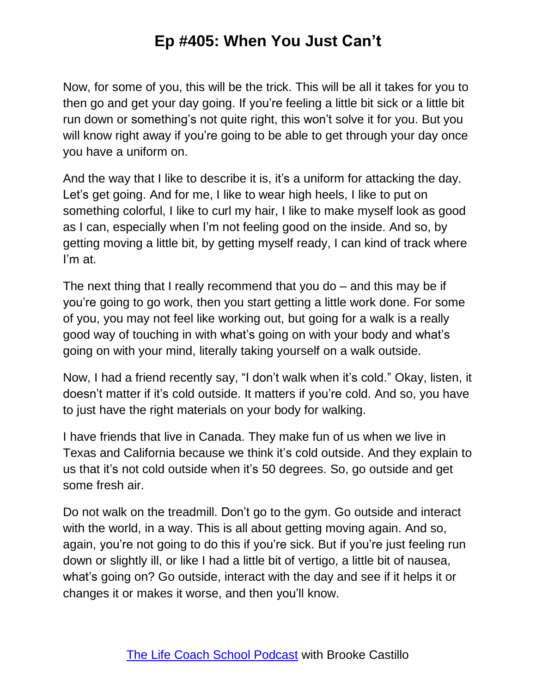Now, for some of you, this will be the trick. This will be all it takes for you to then go and get your day going. If you're feeling a little bit sick or a little bit run down or something's not quite right, this won't solve it for you. But you will know right away if you're going to be able to get through your day once you have a uniform on.

And the way that I like to describe it is, it's a uniform for attacking the day. Let's get going. And for me, I like to wear high heels, I like to put on something colorful, I like to curl my hair, I like to make myself look as good as I can, especially when I'm not feeling good on the inside. And so, by getting moving a little bit, by getting myself ready, I can kind of track where I'm at.

The next thing that I really recommend that you do – and this may be if you're going to go work, then you start getting a little work done. For some of you, you may not feel like working out, but going for a walk is a really good way of touching in with what's going on with your body and what's going on with your mind, literally taking yourself on a walk outside.

Now, I had a friend recently say, "I don't walk when it's cold." Okay, listen, it doesn't matter if it's cold outside. It matters if you're cold. And so, you have to just have the right materials on your body for walking.

I have friends that live in Canada. They make fun of us when we live in Texas and California because we think it's cold outside. And they explain to us that it's not cold outside when it's 50 degrees. So, go outside and get some fresh air.

Do not walk on the treadmill. Don't go to the gym. Go outside and interact with the world, in a way. This is all about getting moving again. And so, again, you're not going to do this if you're sick. But if you're just feeling run down or slightly ill, or like I had a little bit of vertigo, a little bit of nausea, what's going on? Go outside, interact with the day and see if it helps it or changes it or makes it worse, and then you'll know.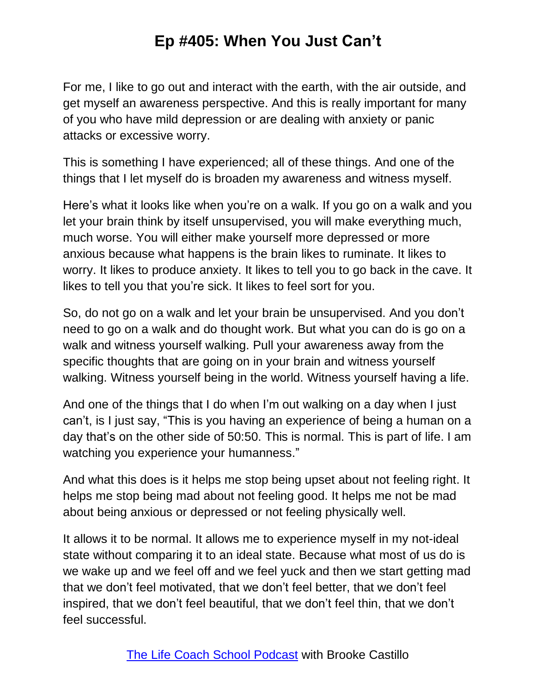For me, I like to go out and interact with the earth, with the air outside, and get myself an awareness perspective. And this is really important for many of you who have mild depression or are dealing with anxiety or panic attacks or excessive worry.

This is something I have experienced; all of these things. And one of the things that I let myself do is broaden my awareness and witness myself.

Here's what it looks like when you're on a walk. If you go on a walk and you let your brain think by itself unsupervised, you will make everything much, much worse. You will either make yourself more depressed or more anxious because what happens is the brain likes to ruminate. It likes to worry. It likes to produce anxiety. It likes to tell you to go back in the cave. It likes to tell you that you're sick. It likes to feel sort for you.

So, do not go on a walk and let your brain be unsupervised. And you don't need to go on a walk and do thought work. But what you can do is go on a walk and witness yourself walking. Pull your awareness away from the specific thoughts that are going on in your brain and witness yourself walking. Witness yourself being in the world. Witness yourself having a life.

And one of the things that I do when I'm out walking on a day when I just can't, is I just say, "This is you having an experience of being a human on a day that's on the other side of 50:50. This is normal. This is part of life. I am watching you experience your humanness."

And what this does is it helps me stop being upset about not feeling right. It helps me stop being mad about not feeling good. It helps me not be mad about being anxious or depressed or not feeling physically well.

It allows it to be normal. It allows me to experience myself in my not-ideal state without comparing it to an ideal state. Because what most of us do is we wake up and we feel off and we feel yuck and then we start getting mad that we don't feel motivated, that we don't feel better, that we don't feel inspired, that we don't feel beautiful, that we don't feel thin, that we don't feel successful.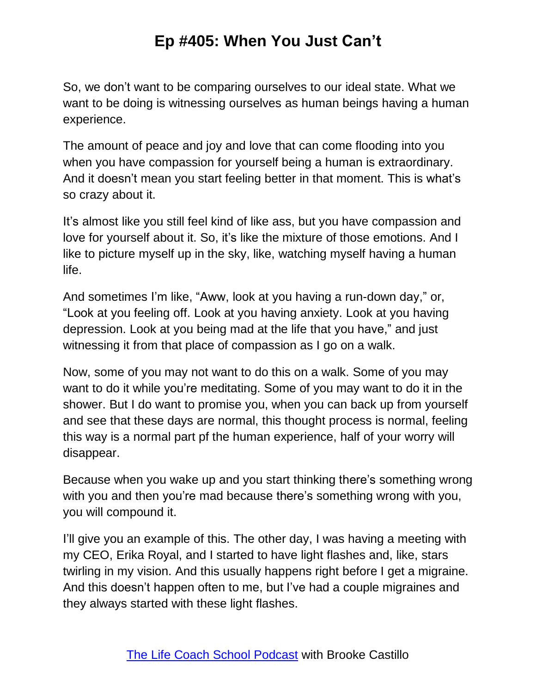So, we don't want to be comparing ourselves to our ideal state. What we want to be doing is witnessing ourselves as human beings having a human experience.

The amount of peace and joy and love that can come flooding into you when you have compassion for yourself being a human is extraordinary. And it doesn't mean you start feeling better in that moment. This is what's so crazy about it.

It's almost like you still feel kind of like ass, but you have compassion and love for yourself about it. So, it's like the mixture of those emotions. And I like to picture myself up in the sky, like, watching myself having a human life.

And sometimes I'm like, "Aww, look at you having a run-down day," or, "Look at you feeling off. Look at you having anxiety. Look at you having depression. Look at you being mad at the life that you have," and just witnessing it from that place of compassion as I go on a walk.

Now, some of you may not want to do this on a walk. Some of you may want to do it while you're meditating. Some of you may want to do it in the shower. But I do want to promise you, when you can back up from yourself and see that these days are normal, this thought process is normal, feeling this way is a normal part pf the human experience, half of your worry will disappear.

Because when you wake up and you start thinking there's something wrong with you and then you're mad because there's something wrong with you, you will compound it.

I'll give you an example of this. The other day, I was having a meeting with my CEO, Erika Royal, and I started to have light flashes and, like, stars twirling in my vision. And this usually happens right before I get a migraine. And this doesn't happen often to me, but I've had a couple migraines and they always started with these light flashes.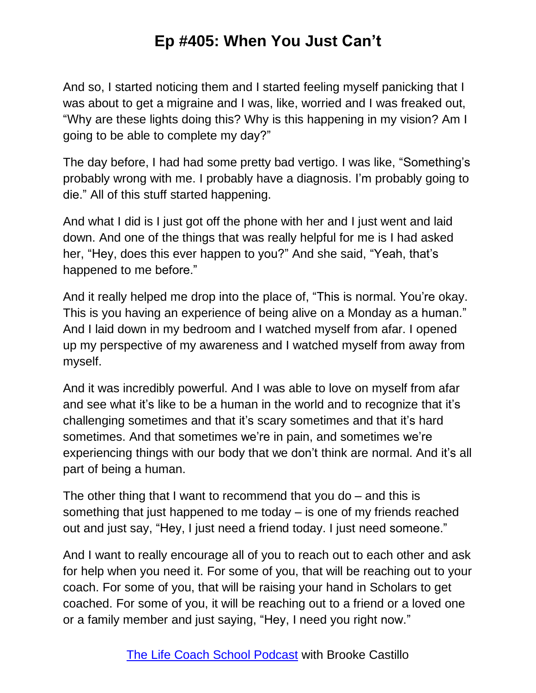And so, I started noticing them and I started feeling myself panicking that I was about to get a migraine and I was, like, worried and I was freaked out, "Why are these lights doing this? Why is this happening in my vision? Am I going to be able to complete my day?"

The day before, I had had some pretty bad vertigo. I was like, "Something's probably wrong with me. I probably have a diagnosis. I'm probably going to die." All of this stuff started happening.

And what I did is I just got off the phone with her and I just went and laid down. And one of the things that was really helpful for me is I had asked her, "Hey, does this ever happen to you?" And she said, "Yeah, that's happened to me before."

And it really helped me drop into the place of, "This is normal. You're okay. This is you having an experience of being alive on a Monday as a human." And I laid down in my bedroom and I watched myself from afar. I opened up my perspective of my awareness and I watched myself from away from myself.

And it was incredibly powerful. And I was able to love on myself from afar and see what it's like to be a human in the world and to recognize that it's challenging sometimes and that it's scary sometimes and that it's hard sometimes. And that sometimes we're in pain, and sometimes we're experiencing things with our body that we don't think are normal. And it's all part of being a human.

The other thing that I want to recommend that you do – and this is something that just happened to me today – is one of my friends reached out and just say, "Hey, I just need a friend today. I just need someone."

And I want to really encourage all of you to reach out to each other and ask for help when you need it. For some of you, that will be reaching out to your coach. For some of you, that will be raising your hand in Scholars to get coached. For some of you, it will be reaching out to a friend or a loved one or a family member and just saying, "Hey, I need you right now."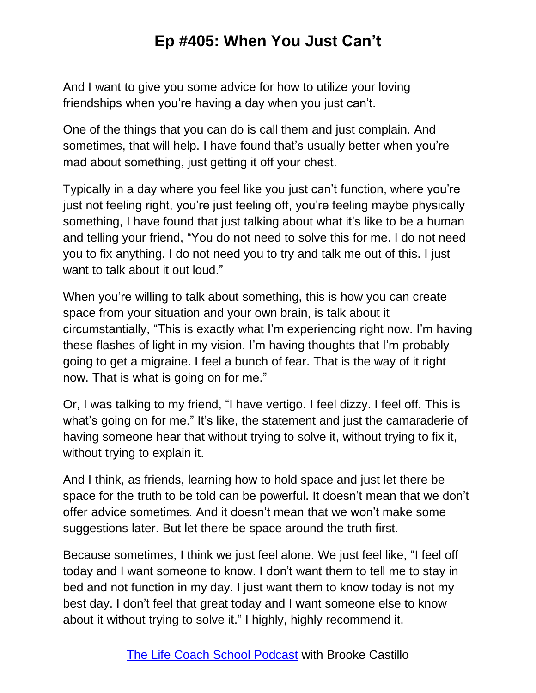And I want to give you some advice for how to utilize your loving friendships when you're having a day when you just can't.

One of the things that you can do is call them and just complain. And sometimes, that will help. I have found that's usually better when you're mad about something, just getting it off your chest.

Typically in a day where you feel like you just can't function, where you're just not feeling right, you're just feeling off, you're feeling maybe physically something, I have found that just talking about what it's like to be a human and telling your friend, "You do not need to solve this for me. I do not need you to fix anything. I do not need you to try and talk me out of this. I just want to talk about it out loud."

When you're willing to talk about something, this is how you can create space from your situation and your own brain, is talk about it circumstantially, "This is exactly what I'm experiencing right now. I'm having these flashes of light in my vision. I'm having thoughts that I'm probably going to get a migraine. I feel a bunch of fear. That is the way of it right now. That is what is going on for me."

Or, I was talking to my friend, "I have vertigo. I feel dizzy. I feel off. This is what's going on for me." It's like, the statement and just the camaraderie of having someone hear that without trying to solve it, without trying to fix it, without trying to explain it.

And I think, as friends, learning how to hold space and just let there be space for the truth to be told can be powerful. It doesn't mean that we don't offer advice sometimes. And it doesn't mean that we won't make some suggestions later. But let there be space around the truth first.

Because sometimes, I think we just feel alone. We just feel like, "I feel off today and I want someone to know. I don't want them to tell me to stay in bed and not function in my day. I just want them to know today is not my best day. I don't feel that great today and I want someone else to know about it without trying to solve it." I highly, highly recommend it.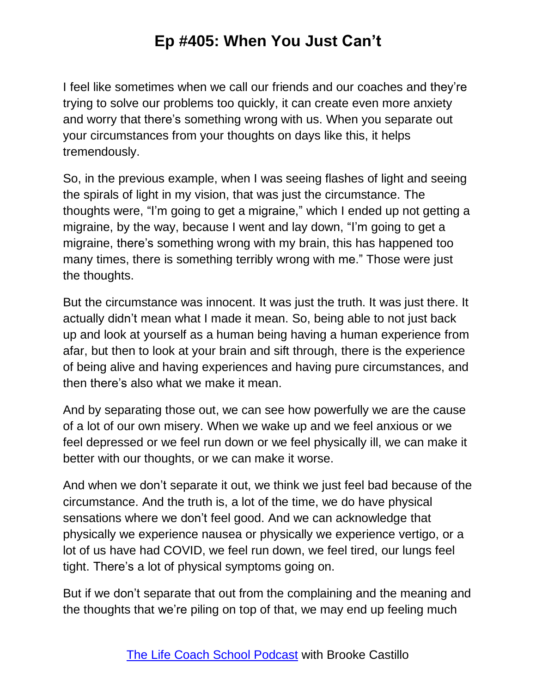I feel like sometimes when we call our friends and our coaches and they're trying to solve our problems too quickly, it can create even more anxiety and worry that there's something wrong with us. When you separate out your circumstances from your thoughts on days like this, it helps tremendously.

So, in the previous example, when I was seeing flashes of light and seeing the spirals of light in my vision, that was just the circumstance. The thoughts were, "I'm going to get a migraine," which I ended up not getting a migraine, by the way, because I went and lay down, "I'm going to get a migraine, there's something wrong with my brain, this has happened too many times, there is something terribly wrong with me." Those were just the thoughts.

But the circumstance was innocent. It was just the truth. It was just there. It actually didn't mean what I made it mean. So, being able to not just back up and look at yourself as a human being having a human experience from afar, but then to look at your brain and sift through, there is the experience of being alive and having experiences and having pure circumstances, and then there's also what we make it mean.

And by separating those out, we can see how powerfully we are the cause of a lot of our own misery. When we wake up and we feel anxious or we feel depressed or we feel run down or we feel physically ill, we can make it better with our thoughts, or we can make it worse.

And when we don't separate it out, we think we just feel bad because of the circumstance. And the truth is, a lot of the time, we do have physical sensations where we don't feel good. And we can acknowledge that physically we experience nausea or physically we experience vertigo, or a lot of us have had COVID, we feel run down, we feel tired, our lungs feel tight. There's a lot of physical symptoms going on.

But if we don't separate that out from the complaining and the meaning and the thoughts that we're piling on top of that, we may end up feeling much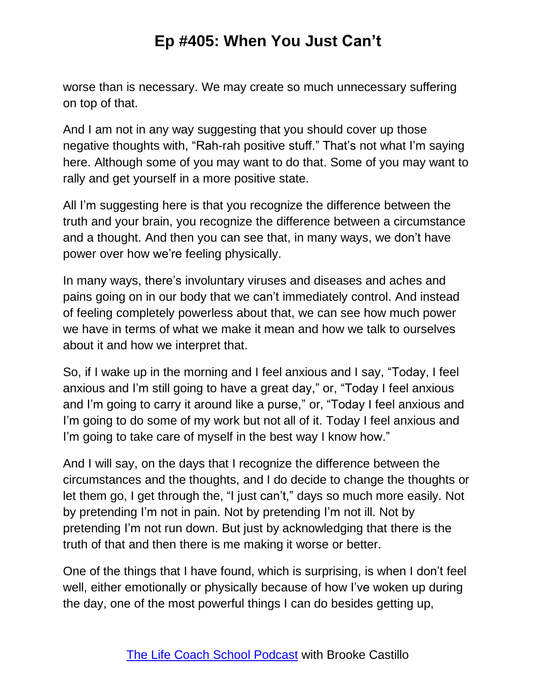worse than is necessary. We may create so much unnecessary suffering on top of that.

And I am not in any way suggesting that you should cover up those negative thoughts with, "Rah-rah positive stuff." That's not what I'm saying here. Although some of you may want to do that. Some of you may want to rally and get yourself in a more positive state.

All I'm suggesting here is that you recognize the difference between the truth and your brain, you recognize the difference between a circumstance and a thought. And then you can see that, in many ways, we don't have power over how we're feeling physically.

In many ways, there's involuntary viruses and diseases and aches and pains going on in our body that we can't immediately control. And instead of feeling completely powerless about that, we can see how much power we have in terms of what we make it mean and how we talk to ourselves about it and how we interpret that.

So, if I wake up in the morning and I feel anxious and I say, "Today, I feel anxious and I'm still going to have a great day," or, "Today I feel anxious and I'm going to carry it around like a purse," or, "Today I feel anxious and I'm going to do some of my work but not all of it. Today I feel anxious and I'm going to take care of myself in the best way I know how."

And I will say, on the days that I recognize the difference between the circumstances and the thoughts, and I do decide to change the thoughts or let them go, I get through the, "I just can't," days so much more easily. Not by pretending I'm not in pain. Not by pretending I'm not ill. Not by pretending I'm not run down. But just by acknowledging that there is the truth of that and then there is me making it worse or better.

One of the things that I have found, which is surprising, is when I don't feel well, either emotionally or physically because of how I've woken up during the day, one of the most powerful things I can do besides getting up,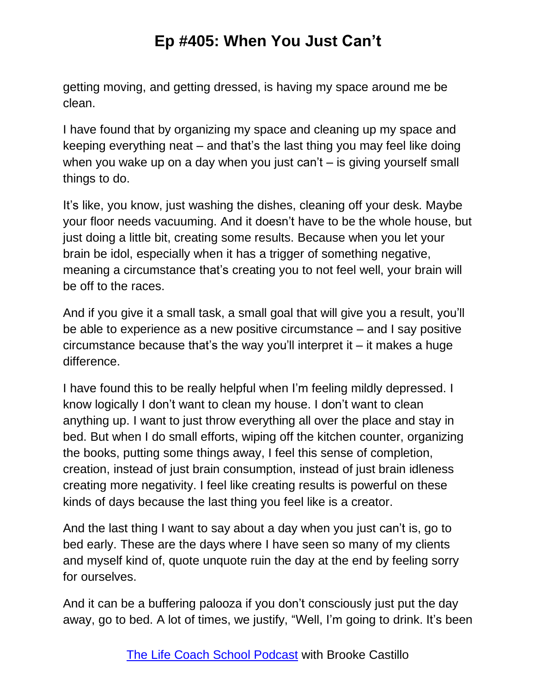getting moving, and getting dressed, is having my space around me be clean.

I have found that by organizing my space and cleaning up my space and keeping everything neat – and that's the last thing you may feel like doing when you wake up on a day when you just can't – is giving yourself small things to do.

It's like, you know, just washing the dishes, cleaning off your desk. Maybe your floor needs vacuuming. And it doesn't have to be the whole house, but just doing a little bit, creating some results. Because when you let your brain be idol, especially when it has a trigger of something negative, meaning a circumstance that's creating you to not feel well, your brain will be off to the races.

And if you give it a small task, a small goal that will give you a result, you'll be able to experience as a new positive circumstance – and I say positive circumstance because that's the way you'll interpret it – it makes a huge difference.

I have found this to be really helpful when I'm feeling mildly depressed. I know logically I don't want to clean my house. I don't want to clean anything up. I want to just throw everything all over the place and stay in bed. But when I do small efforts, wiping off the kitchen counter, organizing the books, putting some things away, I feel this sense of completion, creation, instead of just brain consumption, instead of just brain idleness creating more negativity. I feel like creating results is powerful on these kinds of days because the last thing you feel like is a creator.

And the last thing I want to say about a day when you just can't is, go to bed early. These are the days where I have seen so many of my clients and myself kind of, quote unquote ruin the day at the end by feeling sorry for ourselves.

And it can be a buffering palooza if you don't consciously just put the day away, go to bed. A lot of times, we justify, "Well, I'm going to drink. It's been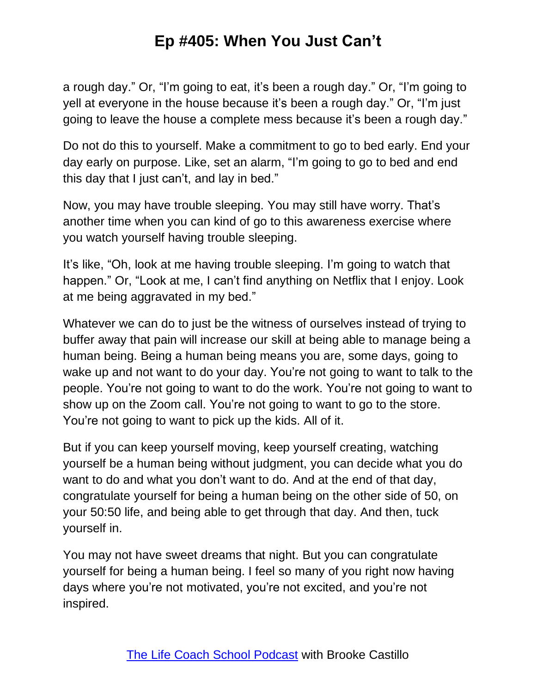a rough day." Or, "I'm going to eat, it's been a rough day." Or, "I'm going to yell at everyone in the house because it's been a rough day." Or, "I'm just going to leave the house a complete mess because it's been a rough day."

Do not do this to yourself. Make a commitment to go to bed early. End your day early on purpose. Like, set an alarm, "I'm going to go to bed and end this day that I just can't, and lay in bed."

Now, you may have trouble sleeping. You may still have worry. That's another time when you can kind of go to this awareness exercise where you watch yourself having trouble sleeping.

It's like, "Oh, look at me having trouble sleeping. I'm going to watch that happen." Or, "Look at me, I can't find anything on Netflix that I enjoy. Look at me being aggravated in my bed."

Whatever we can do to just be the witness of ourselves instead of trying to buffer away that pain will increase our skill at being able to manage being a human being. Being a human being means you are, some days, going to wake up and not want to do your day. You're not going to want to talk to the people. You're not going to want to do the work. You're not going to want to show up on the Zoom call. You're not going to want to go to the store. You're not going to want to pick up the kids. All of it.

But if you can keep yourself moving, keep yourself creating, watching yourself be a human being without judgment, you can decide what you do want to do and what you don't want to do. And at the end of that day, congratulate yourself for being a human being on the other side of 50, on your 50:50 life, and being able to get through that day. And then, tuck yourself in.

You may not have sweet dreams that night. But you can congratulate yourself for being a human being. I feel so many of you right now having days where you're not motivated, you're not excited, and you're not inspired.